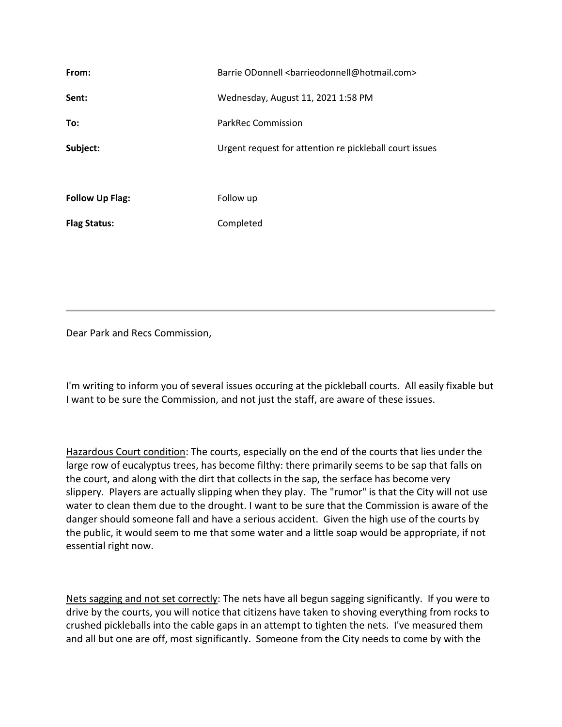| From:                  | Barrie ODonnell<br>barrieodonnell@hotmail.com>          |
|------------------------|---------------------------------------------------------|
| Sent:                  | Wednesday, August 11, 2021 1:58 PM                      |
| To:                    | <b>ParkRec Commission</b>                               |
| Subject:               | Urgent request for attention re pickleball court issues |
|                        |                                                         |
| <b>Follow Up Flag:</b> | Follow up                                               |
| <b>Flag Status:</b>    | Completed                                               |

Dear Park and Recs Commission,

I'm writing to inform you of several issues occuring at the pickleball courts. All easily fixable but I want to be sure the Commission, and not just the staff, are aware of these issues.

Hazardous Court condition: The courts, especially on the end of the courts that lies under the large row of eucalyptus trees, has become filthy: there primarily seems to be sap that falls on the court, and along with the dirt that collects in the sap, the serface has become very slippery. Players are actually slipping when they play. The "rumor" is that the City will not use water to clean them due to the drought. I want to be sure that the Commission is aware of the danger should someone fall and have a serious accident. Given the high use of the courts by the public, it would seem to me that some water and a little soap would be appropriate, if not essential right now.

Nets sagging and not set correctly: The nets have all begun sagging significantly. If you were to drive by the courts, you will notice that citizens have taken to shoving everything from rocks to crushed pickleballs into the cable gaps in an attempt to tighten the nets. I've measured them and all but one are off, most significantly. Someone from the City needs to come by with the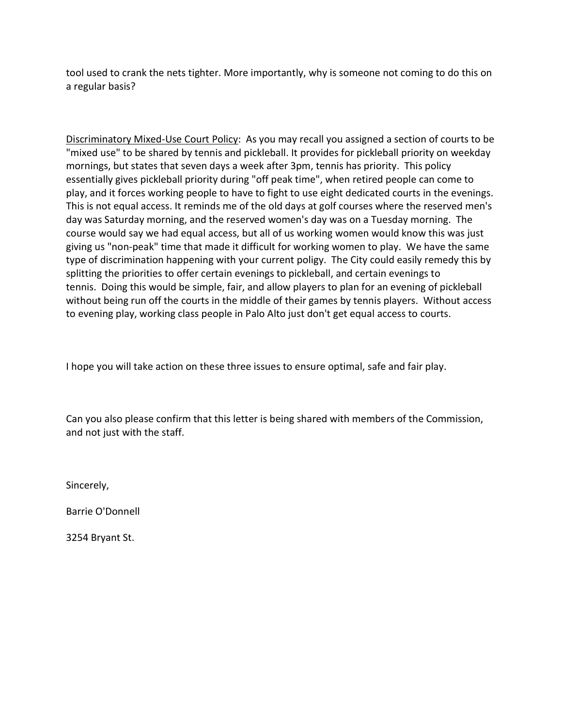tool used to crank the nets tighter. More importantly, why is someone not coming to do this on a regular basis?

Discriminatory Mixed-Use Court Policy: As you may recall you assigned a section of courts to be "mixed use" to be shared by tennis and pickleball. It provides for pickleball priority on weekday mornings, but states that seven days a week after 3pm, tennis has priority. This policy essentially gives pickleball priority during "off peak time", when retired people can come to play, and it forces working people to have to fight to use eight dedicated courts in the evenings. This is not equal access. It reminds me of the old days at golf courses where the reserved men's day was Saturday morning, and the reserved women's day was on a Tuesday morning. The course would say we had equal access, but all of us working women would know this was just giving us "non-peak" time that made it difficult for working women to play. We have the same type of discrimination happening with your current poligy. The City could easily remedy this by splitting the priorities to offer certain evenings to pickleball, and certain evenings to tennis. Doing this would be simple, fair, and allow players to plan for an evening of pickleball without being run off the courts in the middle of their games by tennis players. Without access to evening play, working class people in Palo Alto just don't get equal access to courts.

I hope you will take action on these three issues to ensure optimal, safe and fair play.

Can you also please confirm that this letter is being shared with members of the Commission, and not just with the staff.

Sincerely,

Barrie O'Donnell

3254 Bryant St.